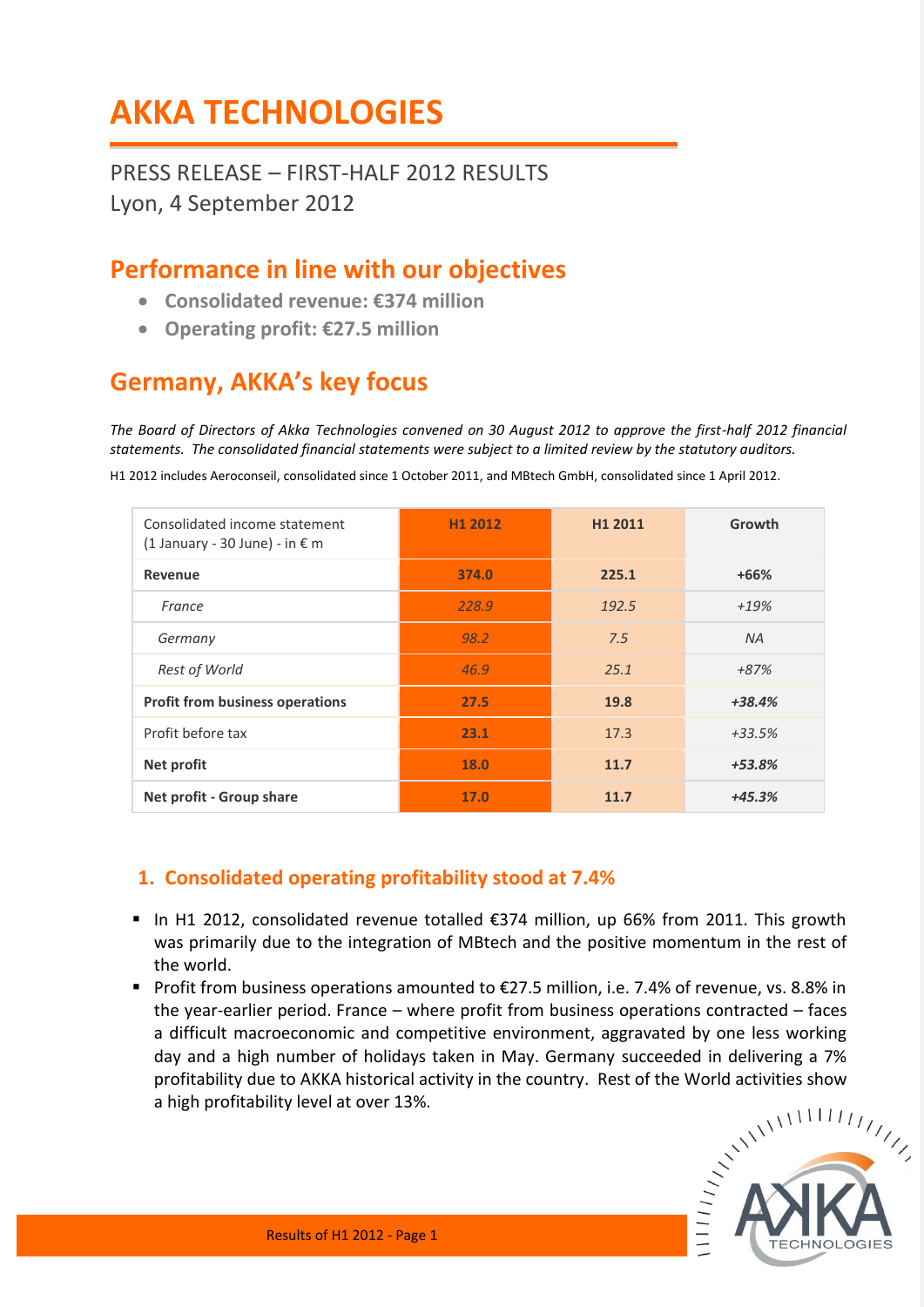# **AKKA TECHNOLOGIES**

PRESS RELEASE – FIRST-HALF 2012 RESULTS Lyon, 4 September 2012

## **Performance in line with our objectives**

- **Consolidated revenue: €374 million**
- **Operating profit: €27.5 million**

# **Germany, AKKA's key focus**

*The Board of Directors of Akka Technologies convened on 30 August 2012 to approve the first-half 2012 financial statements. The consolidated financial statements were subject to a limited review by the statutory auditors.* 

H1 2012 includes Aeroconseil, consolidated since 1 October 2011, and MBtech GmbH, consolidated since 1 April 2012.

| Consolidated income statement<br>$(1$ January - 30 June) - in € m | H1 2012 | H <sub>1</sub> 2011 | Growth   |
|-------------------------------------------------------------------|---------|---------------------|----------|
| Revenue                                                           | 374.0   | 225.1               | $+66%$   |
| France                                                            | 228.9   | 192.5               | $+19%$   |
| Germany                                                           | 98.2    | 7.5                 | NA.      |
| Rest of World                                                     | 46.9    | 25.1                | +87%     |
| <b>Profit from business operations</b>                            | 27.5    | 19.8                | $+38.4%$ |
| Profit before tax                                                 | 23.1    | 17.3                | $+33.5%$ |
| Net profit                                                        | 18.0    | 11.7                | $+53.8%$ |
| Net profit - Group share                                          | 17.0    | 11.7                | $+45.3%$ |

## **1. Consolidated operating profitability stood at 7.4%**

- In H1 2012, consolidated revenue totalled €374 million, up 66% from 2011. This growth was primarily due to the integration of MBtech and the positive momentum in the rest of the world.
- Profit from business operations amounted to €27.5 million, i.e. 7.4% of revenue, vs. 8.8% in the year-earlier period. France – where profit from business operations contracted – faces a difficult macroeconomic and competitive environment, aggravated by one less working day and a high number of holidays taken in May. Germany succeeded in delivering a 7% profitability due to AKKA historical activity in the country. Rest of the World activities show a high profitability level at over 13%.

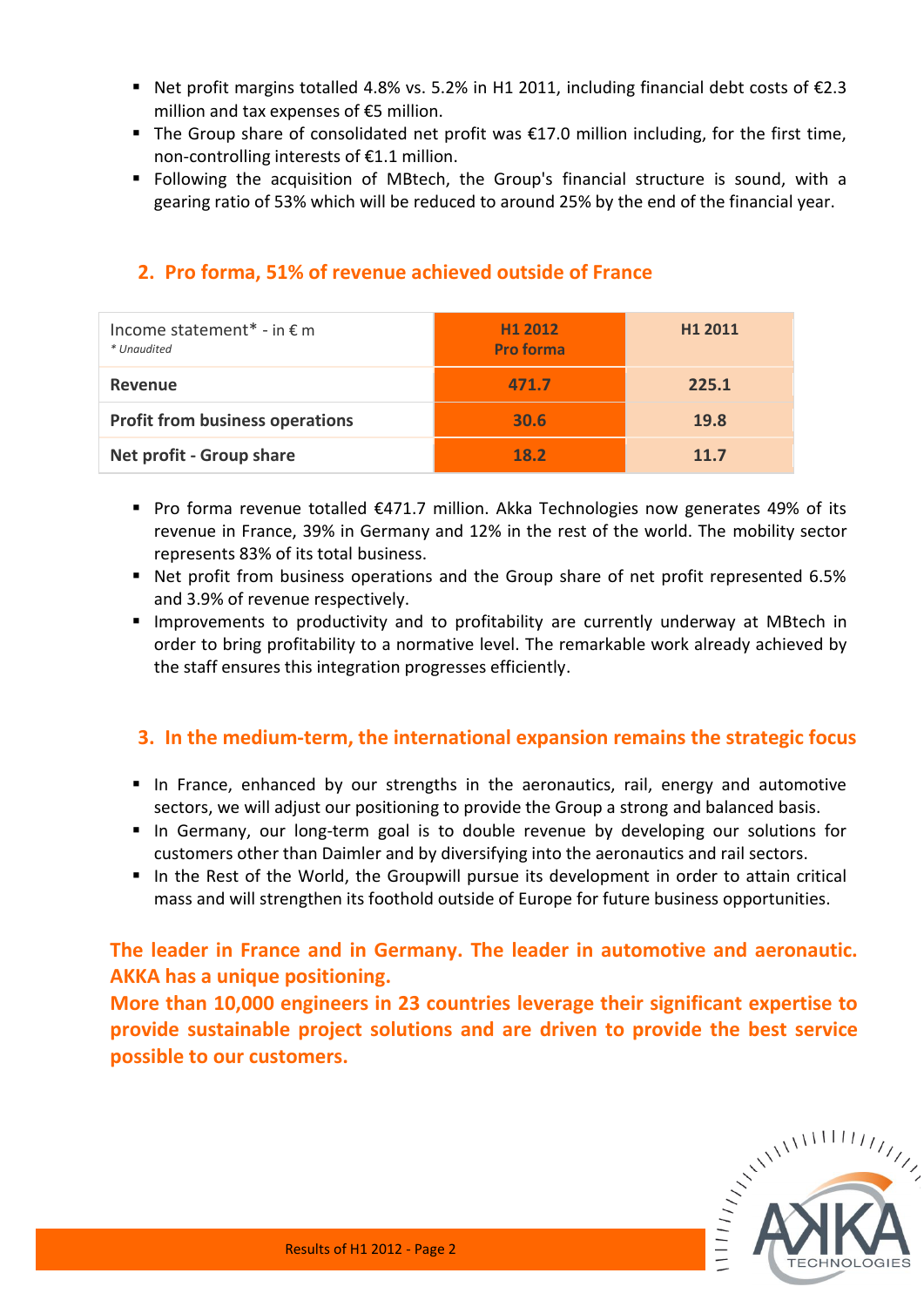- Net profit margins totalled 4.8% vs. 5.2% in H1 2011, including financial debt costs of  $\epsilon$ 2.3 million and tax expenses of €5 million.
- The Group share of consolidated net profit was €17.0 million including, for the first time, non-controlling interests of €1.1 million.
- Following the acquisition of MBtech, the Group's financial structure is sound, with a gearing ratio of 53% which will be reduced to around 25% by the end of the financial year.

| Income statement* - in $\epsilon$ m<br>* Unaudited | H <sub>1</sub> 2012<br><b>Pro forma</b> | H <sub>1</sub> 2011 |
|----------------------------------------------------|-----------------------------------------|---------------------|
| Revenue                                            | 471.7                                   | 225.1               |
| <b>Profit from business operations</b>             | 30.6                                    | 19.8                |
| Net profit - Group share                           | 18.2                                    | 11.7                |

### **2. Pro forma, 51% of revenue achieved outside of France**

- Pro forma revenue totalled  $\epsilon$ 471.7 million. Akka Technologies now generates 49% of its revenue in France, 39% in Germany and 12% in the rest of the world. The mobility sector represents 83% of its total business.
- Net profit from business operations and the Group share of net profit represented 6.5% and 3.9% of revenue respectively.
- Improvements to productivity and to profitability are currently underway at MBtech in order to bring profitability to a normative level. The remarkable work already achieved by the staff ensures this integration progresses efficiently.

#### **3. In the medium-term, the international expansion remains the strategic focus**

- In France, enhanced by our strengths in the aeronautics, rail, energy and automotive sectors, we will adjust our positioning to provide the Group a strong and balanced basis.
- In Germany, our long-term goal is to double revenue by developing our solutions for customers other than Daimler and by diversifying into the aeronautics and rail sectors.
- In the Rest of the World, the Groupwill pursue its development in order to attain critical mass and will strengthen its foothold outside of Europe for future business opportunities.

#### **The leader in France and in Germany. The leader in automotive and aeronautic. AKKA has a unique positioning.**

**More than 10,000 engineers in 23 countries leverage their significant expertise to provide sustainable project solutions and are driven to provide the best service possible to our customers.**